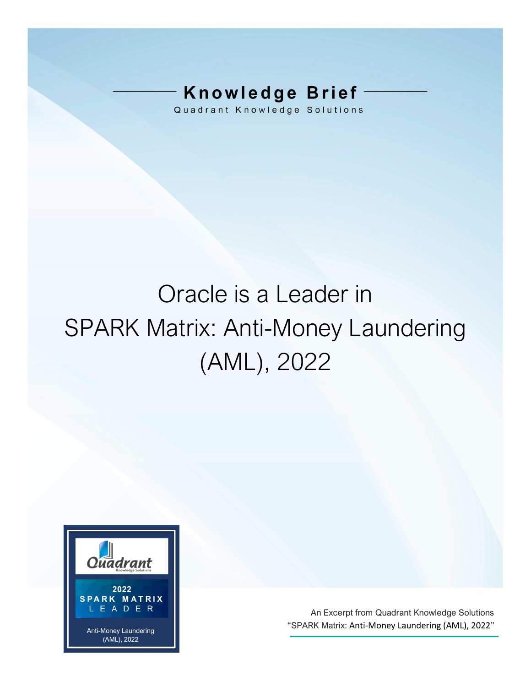# **Knowledge Brief**

Quadrant Knowledge Solutions

# Oracle is a Leader in SPARK Matrix: Anti-Money Laundering (AML), 2022



An Excerpt from Quadrant Knowledge Solutions "SPARK Matrix: Anti-Money Laundering (AML), 2022"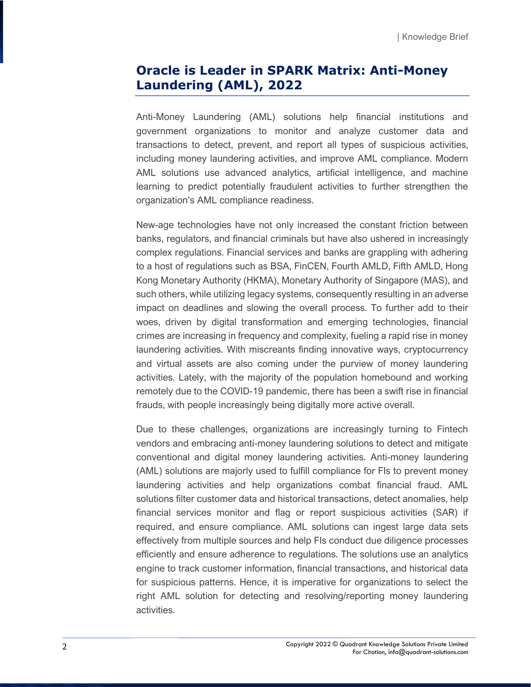### **Oracle is Leader in SPARK Matrix: Anti-Money Laundering (AML), 2022**

Anti-Money Laundering (AML) solutions help financial institutions and government organizations to monitor and analyze customer data and transactions to detect, prevent, and report all types of suspicious activities, including money laundering activities, and improve AML compliance. Modern AML solutions use advanced analytics, artificial intelligence, and machine learning to predict potentially fraudulent activities to further strengthen the organization's AML compliance readiness.

New-age technologies have not only increased the constant friction between banks, regulators, and financial criminals but have also ushered in increasingly complex regulations. Financial services and banks are grappling with adhering to a host of regulations such as BSA, FinCEN, Fourth AMLD, Fifth AMLD, Hong Kong Monetary Authority (HKMA), Monetary Authority of Singapore (MAS), and such others, while utilizing legacy systems, consequently resulting in an adverse impact on deadlines and slowing the overall process. To further add to their woes, driven by digital transformation and emerging technologies, financial crimes are increasing in frequency and complexity, fueling a rapid rise in money laundering activities. With miscreants finding innovative ways, cryptocurrency and virtual assets are also coming under the purview of money laundering activities. Lately, with the majority of the population homebound and working remotely due to the COVID-19 pandemic, there has been a swift rise in financial frauds, with people increasingly being digitally more active overall.

Due to these challenges, organizations are increasingly turning to Fintech vendors and embracing anti-money laundering solutions to detect and mitigate conventional and digital money laundering activities. Anti-money laundering (AML) solutions are majorly used to fulfill compliance for FIs to prevent money laundering activities and help organizations combat financial fraud. AML solutions filter customer data and historical transactions, detect anomalies, help financial services monitor and flag or report suspicious activities (SAR) if required, and ensure compliance. AML solutions can ingest large data sets effectively from multiple sources and help FIs conduct due diligence processes efficiently and ensure adherence to regulations. The solutions use an analytics engine to track customer information, financial transactions, and historical data for suspicious patterns. Hence, it is imperative for organizations to select the right AML solution for detecting and resolving/reporting money laundering activities.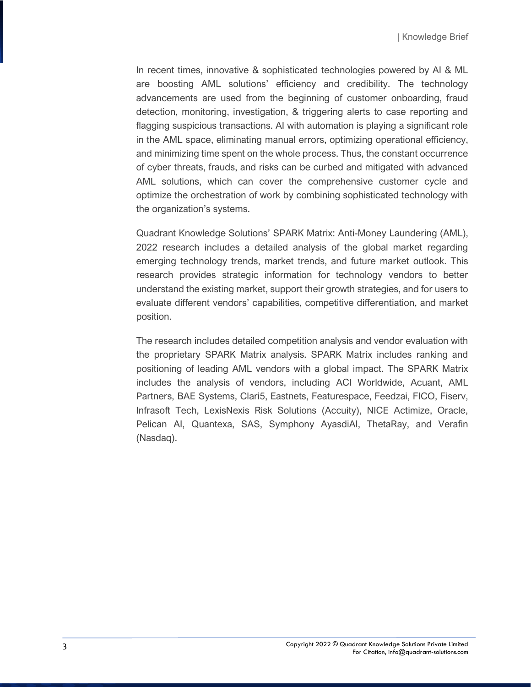In recent times, innovative & sophisticated technologies powered by AI & ML are boosting AML solutions' efficiency and credibility. The technology advancements are used from the beginning of customer onboarding, fraud detection, monitoring, investigation, & triggering alerts to case reporting and flagging suspicious transactions. AI with automation is playing a significant role in the AML space, eliminating manual errors, optimizing operational efficiency, and minimizing time spent on the whole process. Thus, the constant occurrence of cyber threats, frauds, and risks can be curbed and mitigated with advanced AML solutions, which can cover the comprehensive customer cycle and optimize the orchestration of work by combining sophisticated technology with the organization's systems.

Quadrant Knowledge Solutions' SPARK Matrix: Anti-Money Laundering (AML), 2022 research includes a detailed analysis of the global market regarding emerging technology trends, market trends, and future market outlook. This research provides strategic information for technology vendors to better understand the existing market, support their growth strategies, and for users to evaluate different vendors' capabilities, competitive differentiation, and market position.

The research includes detailed competition analysis and vendor evaluation with the proprietary SPARK Matrix analysis. SPARK Matrix includes ranking and positioning of leading AML vendors with a global impact. The SPARK Matrix includes the analysis of vendors, including ACI Worldwide, Acuant, AML Partners, BAE Systems, Clari5, Eastnets, Featurespace, Feedzai, FICO, Fiserv, Infrasoft Tech, LexisNexis Risk Solutions (Accuity), NICE Actimize, Oracle, Pelican AI, Quantexa, SAS, Symphony AyasdiAI, ThetaRay, and Verafin (Nasdaq).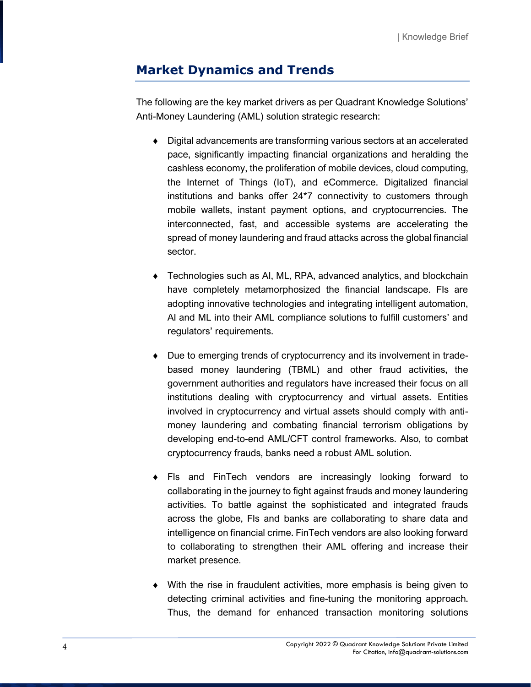## **Market Dynamics and Trends**

The following are the key market drivers as per Quadrant Knowledge Solutions' Anti-Money Laundering (AML) solution strategic research:

- Digital advancements are transforming various sectors at an accelerated pace, significantly impacting financial organizations and heralding the cashless economy, the proliferation of mobile devices, cloud computing, the Internet of Things (IoT), and eCommerce. Digitalized financial institutions and banks offer 24\*7 connectivity to customers through mobile wallets, instant payment options, and cryptocurrencies. The interconnected, fast, and accessible systems are accelerating the spread of money laundering and fraud attacks across the global financial sector.
- Technologies such as AI, ML, RPA, advanced analytics, and blockchain have completely metamorphosized the financial landscape. FIs are adopting innovative technologies and integrating intelligent automation, AI and ML into their AML compliance solutions to fulfill customers' and regulators' requirements.
- Due to emerging trends of cryptocurrency and its involvement in tradebased money laundering (TBML) and other fraud activities, the government authorities and regulators have increased their focus on all institutions dealing with cryptocurrency and virtual assets. Entities involved in cryptocurrency and virtual assets should comply with antimoney laundering and combating financial terrorism obligations by developing end-to-end AML/CFT control frameworks. Also, to combat cryptocurrency frauds, banks need a robust AML solution.
- FIs and FinTech vendors are increasingly looking forward to collaborating in the journey to fight against frauds and money laundering activities. To battle against the sophisticated and integrated frauds across the globe, FIs and banks are collaborating to share data and intelligence on financial crime. FinTech vendors are also looking forward to collaborating to strengthen their AML offering and increase their market presence.
- With the rise in fraudulent activities, more emphasis is being given to detecting criminal activities and fine-tuning the monitoring approach. Thus, the demand for enhanced transaction monitoring solutions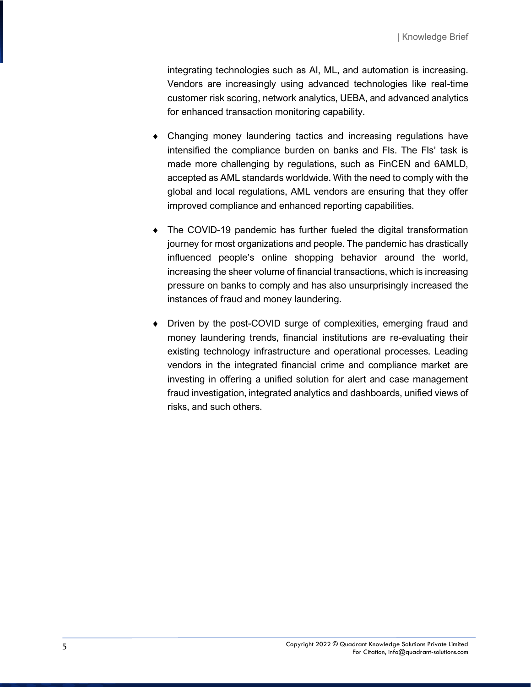integrating technologies such as AI, ML, and automation is increasing. Vendors are increasingly using advanced technologies like real-time customer risk scoring, network analytics, UEBA, and advanced analytics for enhanced transaction monitoring capability.

- Changing money laundering tactics and increasing regulations have intensified the compliance burden on banks and FIs. The FIs' task is made more challenging by regulations, such as FinCEN and 6AMLD, accepted as AML standards worldwide. With the need to comply with the global and local regulations, AML vendors are ensuring that they offer improved compliance and enhanced reporting capabilities.
- The COVID-19 pandemic has further fueled the digital transformation journey for most organizations and people. The pandemic has drastically influenced people's online shopping behavior around the world, increasing the sheer volume of financial transactions, which is increasing pressure on banks to comply and has also unsurprisingly increased the instances of fraud and money laundering.
- Driven by the post-COVID surge of complexities, emerging fraud and money laundering trends, financial institutions are re-evaluating their existing technology infrastructure and operational processes. Leading vendors in the integrated financial crime and compliance market are investing in offering a unified solution for alert and case management fraud investigation, integrated analytics and dashboards, unified views of risks, and such others.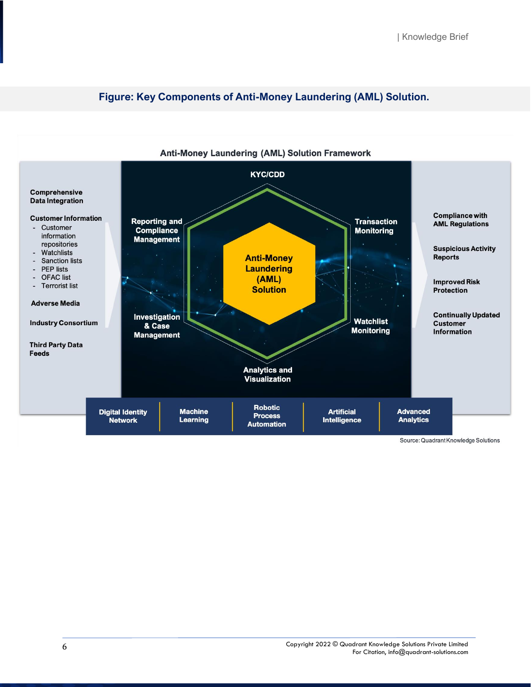

#### **Figure: Key Components of Anti-Money Laundering (AML) Solution.**

Source: Quadrant Knowledge Solutions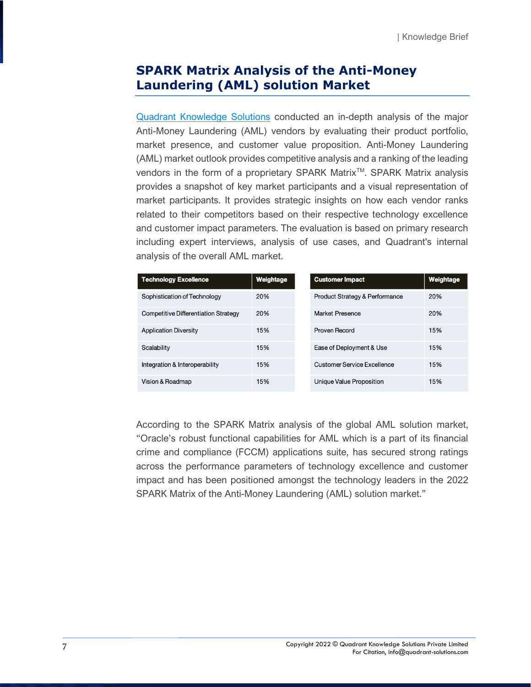#### **SPARK Matrix Analysis of the Anti-Money Laundering (AML) solution Market**

[Quadrant Knowledge Solutions](https://quadrant-solutions.com/) conducted an in-depth analysis of the major Anti-Money Laundering (AML) vendors by evaluating their product portfolio, market presence, and customer value proposition. Anti-Money Laundering (AML) market outlook provides competitive analysis and a ranking of the leading vendors in the form of a proprietary SPARK Matrix<sup>™</sup>. SPARK Matrix analysis provides a snapshot of key market participants and a visual representation of market participants. It provides strategic insights on how each vendor ranks related to their competitors based on their respective technology excellence and customer impact parameters. The evaluation is based on primary research including expert interviews, analysis of use cases, and Quadrant's internal analysis of the overall AML market.

| <b>Technology Excellence</b>         | Weightage | <b>Customer Impact</b>                    | Weightage |
|--------------------------------------|-----------|-------------------------------------------|-----------|
| Sophistication of Technology         | 20%       | <b>Product Strategy &amp; Performance</b> | 20%       |
| Competitive Differentiation Strategy | 20%       | Market Presence                           | 20%       |
| <b>Application Diversity</b>         | 15%       | Proven Record                             | 15%       |
| Scalability                          | 15%       | Ease of Deployment & Use                  | 15%       |
| Integration & Interoperability       | 15%       | Customer Service Excellence               | 15%       |
| Vision & Roadmap                     | 15%       | Unique Value Proposition                  | 15%       |

According to the SPARK Matrix analysis of the global AML solution market, "Oracle's robust functional capabilities for AML which is a part of its financial crime and compliance (FCCM) applications suite, has secured strong ratings across the performance parameters of technology excellence and customer impact and has been positioned amongst the technology leaders in the 2022 SPARK Matrix of the Anti-Money Laundering (AML) solution market."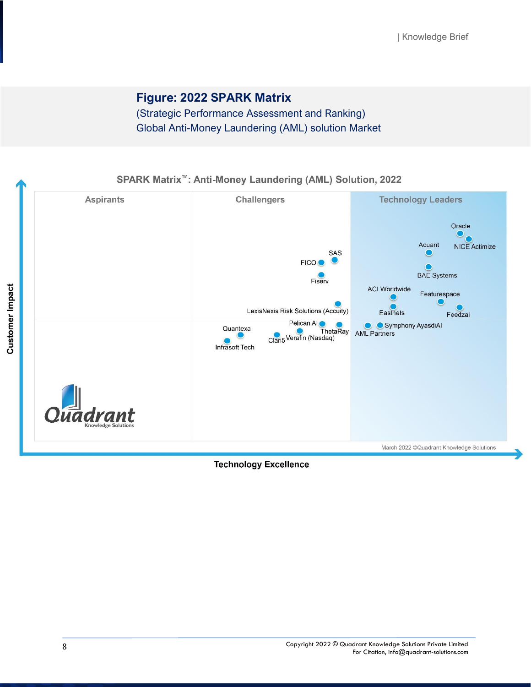### **Figure: 2022 SPARK Matrix**

(Strategic Performance Assessment and Ranking) Global Anti-Money Laundering (AML) solution Market

SPARK Matrix<sup>™</sup>: Anti-Money Laundering (AML) Solution, 2022



#### **Technology Excellence**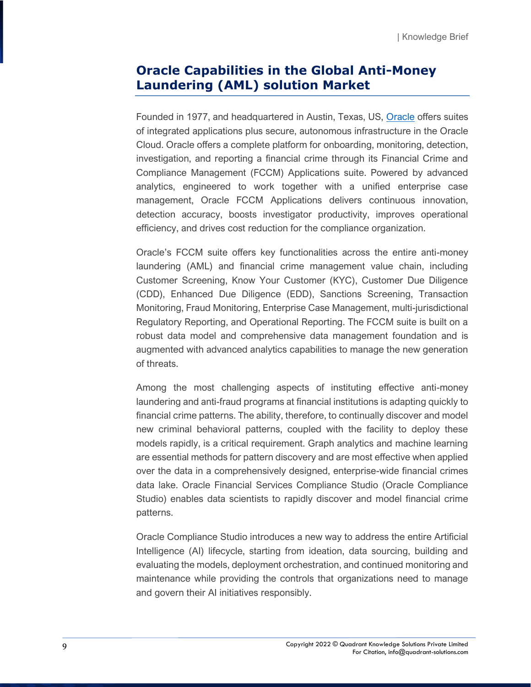#### **Oracle Capabilities in the Global Anti-Money Laundering (AML) solution Market**

Founded in 1977, and headquartered in Austin, Texas, US, [Oracle](https://www.oracle.com/aml) offers suites of integrated applications plus secure, autonomous infrastructure in the Oracle Cloud. Oracle offers a complete platform for onboarding, monitoring, detection, investigation, and reporting a financial crime through its Financial Crime and Compliance Management (FCCM) Applications suite. Powered by advanced analytics, engineered to work together with a unified enterprise case management, Oracle FCCM Applications delivers continuous innovation, detection accuracy, boosts investigator productivity, improves operational efficiency, and drives cost reduction for the compliance organization.

Oracle's FCCM suite offers key functionalities across the entire anti-money laundering (AML) and financial crime management value chain, including Customer Screening, Know Your Customer (KYC), Customer Due Diligence (CDD), Enhanced Due Diligence (EDD), Sanctions Screening, Transaction Monitoring, Fraud Monitoring, Enterprise Case Management, multi-jurisdictional Regulatory Reporting, and Operational Reporting. The FCCM suite is built on a robust data model and comprehensive data management foundation and is augmented with advanced analytics capabilities to manage the new generation of threats.

Among the most challenging aspects of instituting effective anti-money laundering and anti-fraud programs at financial institutions is adapting quickly to financial crime patterns. The ability, therefore, to continually discover and model new criminal behavioral patterns, coupled with the facility to deploy these models rapidly, is a critical requirement. Graph analytics and machine learning are essential methods for pattern discovery and are most effective when applied over the data in a comprehensively designed, enterprise-wide financial crimes data lake. Oracle Financial Services Compliance Studio (Oracle Compliance Studio) enables data scientists to rapidly discover and model financial crime patterns.

Oracle Compliance Studio introduces a new way to address the entire Artificial Intelligence (AI) lifecycle, starting from ideation, data sourcing, building and evaluating the models, deployment orchestration, and continued monitoring and maintenance while providing the controls that organizations need to manage and govern their AI initiatives responsibly.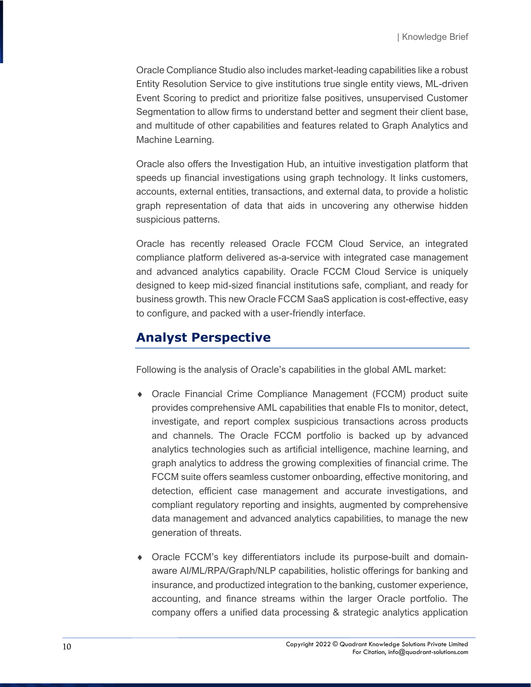Oracle Compliance Studio also includes market-leading capabilities like a robust Entity Resolution Service to give institutions true single entity views, ML-driven Event Scoring to predict and prioritize false positives, unsupervised Customer Segmentation to allow firms to understand better and segment their client base, and multitude of other capabilities and features related to Graph Analytics and Machine Learning.

Oracle also offers the Investigation Hub, an intuitive investigation platform that speeds up financial investigations using graph technology. It links customers, accounts, external entities, transactions, and external data, to provide a holistic graph representation of data that aids in uncovering any otherwise hidden suspicious patterns.

Oracle has recently released Oracle FCCM Cloud Service, an integrated compliance platform delivered as-a-service with integrated case management and advanced analytics capability. Oracle FCCM Cloud Service is uniquely designed to keep mid-sized financial institutions safe, compliant, and ready for business growth. This new Oracle FCCM SaaS application is cost-effective, easy to configure, and packed with a user-friendly interface.

#### **Analyst Perspective**

Following is the analysis of Oracle's capabilities in the global AML market:

- Oracle Financial Crime Compliance Management (FCCM) product suite provides comprehensive AML capabilities that enable FIs to monitor, detect, investigate, and report complex suspicious transactions across products and channels. The Oracle FCCM portfolio is backed up by advanced analytics technologies such as artificial intelligence, machine learning, and graph analytics to address the growing complexities of financial crime. The FCCM suite offers seamless customer onboarding, effective monitoring, and detection, efficient case management and accurate investigations, and compliant regulatory reporting and insights, augmented by comprehensive data management and advanced analytics capabilities, to manage the new generation of threats.
- Oracle FCCM's key differentiators include its purpose-built and domainaware AI/ML/RPA/Graph/NLP capabilities, holistic offerings for banking and insurance, and productized integration to the banking, customer experience, accounting, and finance streams within the larger Oracle portfolio. The company offers a unified data processing & strategic analytics application